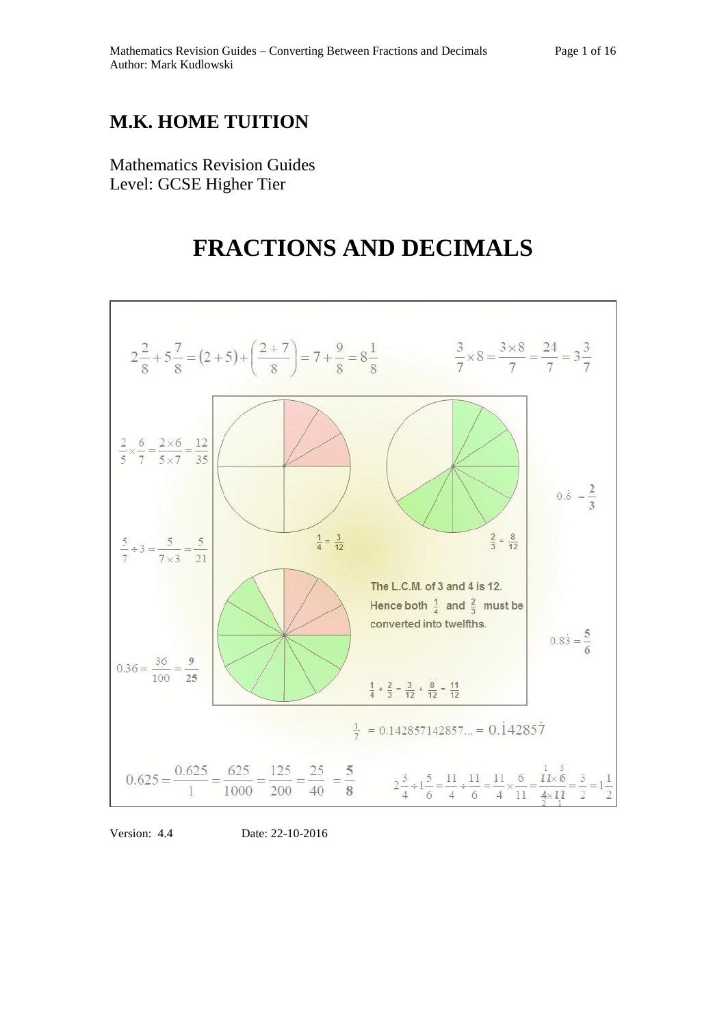## **M.K. HOME TUITION**

Mathematics Revision Guides Level: GCSE Higher Tier

# **FRACTIONS AND DECIMALS**



Version: 4.4 Date: 22-10-2016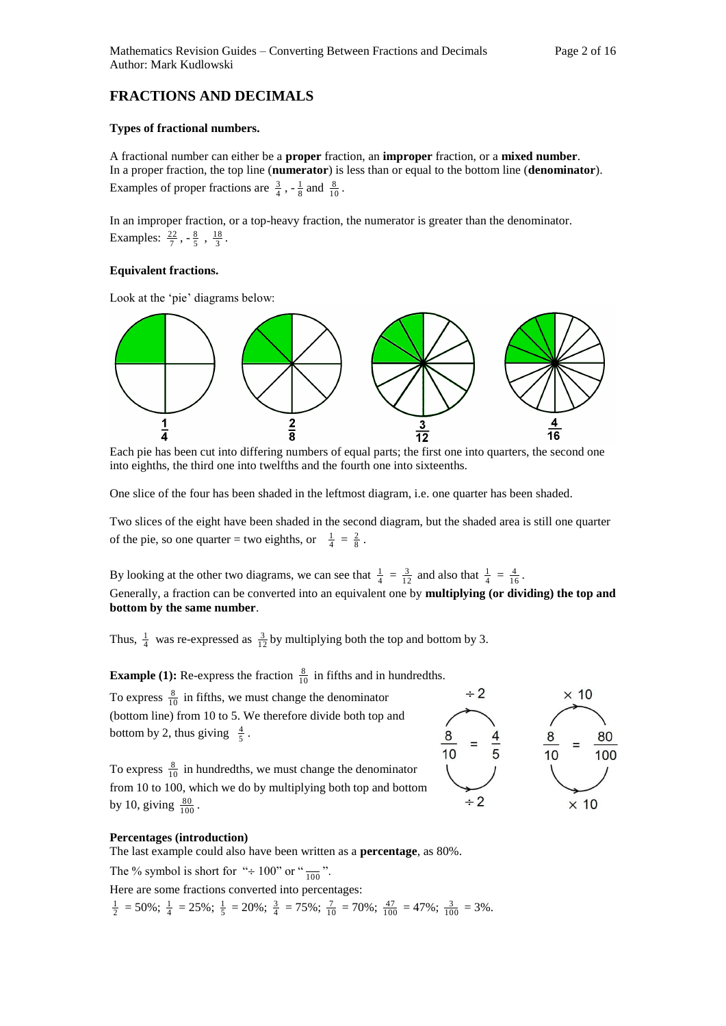### **FRACTIONS AND DECIMALS**

#### **Types of fractional numbers.**

A fractional number can either be a **proper** fraction, an **improper** fraction, or a **mixed number**. In a proper fraction, the top line (**numerator**) is less than or equal to the bottom line (**denominator**). Examples of proper fractions are  $\frac{3}{4}$ ,  $-\frac{1}{8}$  and  $\frac{8}{10}$ .

In an improper fraction, or a top-heavy fraction, the numerator is greater than the denominator. Examples:  $\frac{22}{7}, -\frac{8}{5}, \frac{18}{3}$ .

#### **Equivalent fractions.**

Look at the 'pie' diagrams below:



Each pie has been cut into differing numbers of equal parts; the first one into quarters, the second one into eighths, the third one into twelfths and the fourth one into sixteenths.

One slice of the four has been shaded in the leftmost diagram, i.e. one quarter has been shaded.

Two slices of the eight have been shaded in the second diagram, but the shaded area is still one quarter of the pie, so one quarter = two eighths, or  $\frac{1}{4} = \frac{2}{8}$ .

By looking at the other two diagrams, we can see that  $\frac{1}{4} = \frac{3}{12}$  and also that  $\frac{1}{4} = \frac{4}{16}$ . Generally, a fraction can be converted into an equivalent one by **multiplying (or dividing) the top and bottom by the same number**.

Thus,  $\frac{1}{4}$  was re-expressed as  $\frac{3}{12}$  by multiplying both the top and bottom by 3.

**Example (1):** Re-express the fraction  $\frac{8}{10}$  in fifths and in hundredths.

To express  $\frac{8}{10}$  in fifths, we must change the denominator (bottom line) from 10 to 5. We therefore divide both top and bottom by 2, thus giving  $\frac{4}{5}$ .

To express  $\frac{8}{10}$  in hundredths, we must change the denominator from 10 to 100, which we do by multiplying both top and bottom by 10, giving  $\frac{80}{100}$ .



#### **Percentages (introduction)**

The last example could also have been written as a **percentage**, as 80%.

The % symbol is short for " $\div 100$ " or " $\frac{1}{100}$ ".

Here are some fractions converted into percentages:

 $\frac{1}{2}$  = 50%;  $\frac{1}{4}$  = 25%;  $\frac{1}{5}$  = 20%;  $\frac{3}{4}$  = 75%;  $\frac{7}{10}$  = 70%;  $\frac{47}{100}$  = 47%;  $\frac{3}{100}$  = 3%.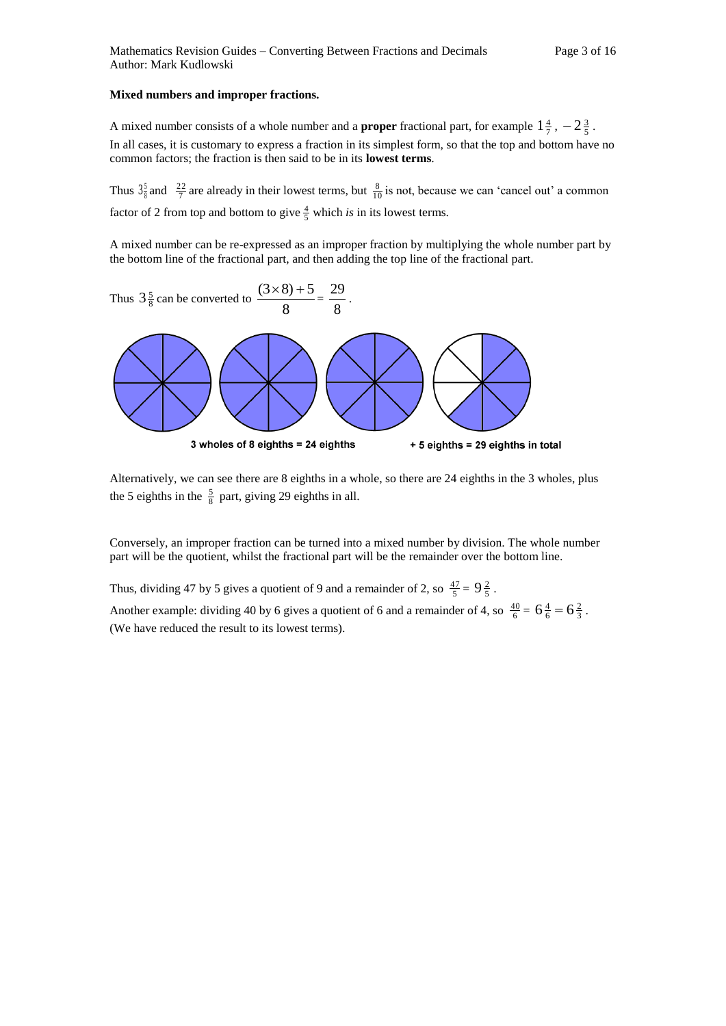#### **Mixed numbers and improper fractions.**

A mixed number consists of a whole number and a **proper** fractional part, for example  $1\frac{4}{7}$ ,  $-2\frac{3}{5}$ . In all cases, it is customary to express a fraction in its simplest form, so that the top and bottom have no common factors; the fraction is then said to be in its **lowest terms**.

Thus  $3\frac{5}{8}$  and  $\frac{22}{7}$  are already in their lowest terms, but  $\frac{8}{10}$  is not, because we can 'cancel out' a common factor of 2 from top and bottom to give  $\frac{4}{5}$  which *is* in its lowest terms.

A mixed number can be re-expressed as an improper fraction by multiplying the whole number part by the bottom line of the fractional part, and then adding the top line of the fractional part.



Alternatively, we can see there are 8 eighths in a whole, so there are 24 eighths in the 3 wholes, plus the 5 eighths in the  $\frac{5}{8}$  part, giving 29 eighths in all.

Conversely, an improper fraction can be turned into a mixed number by division. The whole number part will be the quotient, whilst the fractional part will be the remainder over the bottom line.

Thus, dividing 47 by 5 gives a quotient of 9 and a remainder of 2, so  $\frac{47}{5} = 9\frac{2}{5}$ .

Another example: dividing 40 by 6 gives a quotient of 6 and a remainder of 4, so  $\frac{40}{6} = 6\frac{4}{6} = 6\frac{2}{3}$ . (We have reduced the result to its lowest terms).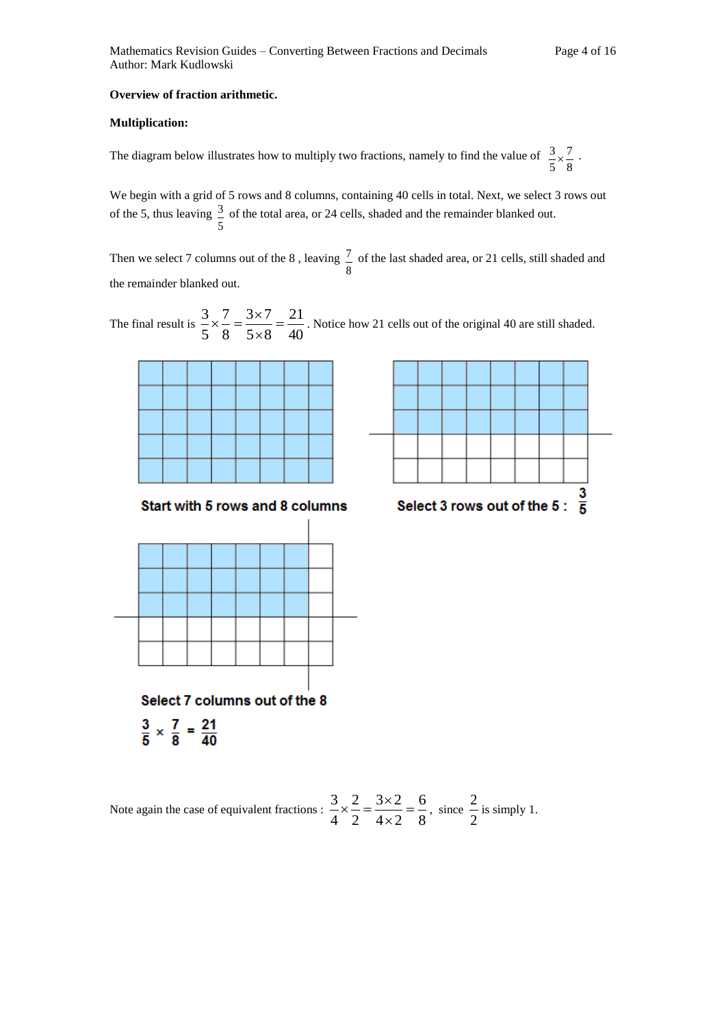#### **Overview of fraction arithmetic.**

#### **Multiplication:**

The diagram below illustrates how to multiply two fractions, namely to find the value of 8 7 5  $\frac{3}{2} \times \frac{7}{2}$ .

We begin with a grid of 5 rows and 8 columns, containing 40 cells in total. Next, we select 3 rows out of the 5, thus leaving 5  $\frac{3}{2}$  of the total area, or 24 cells, shaded and the remainder blanked out.

Then we select 7 columns out of the 8 , leaving 8  $\frac{7}{2}$  of the last shaded area, or 21 cells, still shaded and the remainder blanked out.

The final result is  $\frac{6}{5} \times \frac{6}{5} = \frac{6}{5 \times 8} = \frac{24}{40}$ 21  $5 \times 8$  $3 \times 7$ 8 7 5  $\frac{3}{2} \times \frac{7}{8} = \frac{3 \times 7}{8 \times 8} =$  $\times$  $\frac{7}{6} = \frac{3 \times 7}{2 \times 6} = \frac{21}{10}$ . Notice how 21 cells out of the original 40 are still shaded.



Note again the case of equivalent fractions :  $\frac{2}{4} \times \frac{2}{2} = \frac{3}{4 \times 2} = \frac{3}{8}$ 6  $4 \times 2$  $3 \times 2$ 2 2 4  $\frac{3}{2} \times \frac{2}{1} = \frac{3 \times 2}{1} =$  $\times$  $x = \frac{3 \times 2}{1 \times 3} = \frac{6}{5}$ , since 2  $\frac{2}{1}$  is simply 1.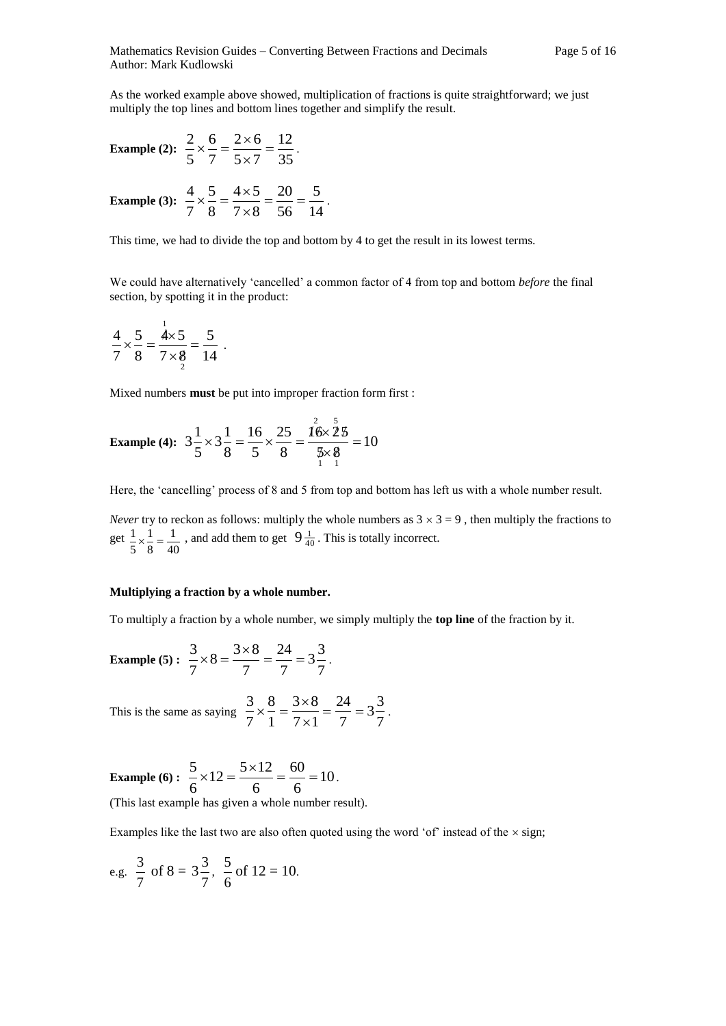As the worked example above showed, multiplication of fractions is quite straightforward; we just multiply the top lines and bottom lines together and simplify the result.

Example (2): 
$$
\frac{2}{5} \times \frac{6}{7} = \frac{2 \times 6}{5 \times 7} = \frac{12}{35}
$$
.  
Example (3):  $\frac{4}{7} \times \frac{5}{8} = \frac{4 \times 5}{7 \times 8} = \frac{20}{56} = \frac{5}{14}$ .

This time, we had to divide the top and bottom by 4 to get the result in its lowest terms.

We could have alternatively 'cancelled' a common factor of 4 from top and bottom *before* the final section, by spotting it in the product:

$$
\frac{4}{7} \times \frac{5}{8} = \frac{\stackrel{1}{4} \times 5}{7 \times \stackrel{8}{8}} = \frac{5}{14} \ .
$$

Mixed numbers **must** be put into improper fraction form first :

Example (4): 
$$
3\frac{1}{5} \times 3\frac{1}{8} = \frac{16}{5} \times \frac{25}{8} = \frac{16 \times 25}{\frac{5}{1} \times \frac{8}{1}} = 10
$$

Here, the 'cancelling' process of 8 and 5 from top and bottom has left us with a whole number result.

*Never* try to reckon as follows: multiply the whole numbers as  $3 \times 3 = 9$ , then multiply the fractions to get 40 1 8 1 5  $\frac{1}{2} \times \frac{1}{2} = \frac{1}{40}$ , and add them to get  $9\frac{1}{40}$ . This is totally incorrect.

#### **Multiplying a fraction by a whole number.**

To multiply a fraction by a whole number, we simply multiply the **top line** of the fraction by it.

Example (5): 
$$
\frac{3}{7} \times 8 = \frac{3 \times 8}{7} = \frac{24}{7} = 3\frac{3}{7}
$$
.

This is the same as saying  $\frac{2}{7} \times \frac{3}{1} = \frac{3 \times 3}{7 \times 1} = \frac{3}{7} = 3\frac{3}{7}$  $3\frac{3}{2}$ 7 24  $7 \times 1$  $3\times 8$ 1 8 7  $\frac{3}{2} \times \frac{8}{1} = \frac{3 \times 8}{1} = \frac{24}{1} =$  $\times$  $x\frac{8}{1} = \frac{3\times8}{1} = \frac{24}{1} = 3\frac{3}{1}$ .

**Example (6) :**  $\frac{3}{2} \times 12 = \frac{3 \times 12}{2} = \frac{60}{2} = 10$ 6 60 6  $12 = \frac{5 \times 12}{1}$ 6  $\frac{5}{2} \times 12 = \frac{5 \times 12}{1} = \frac{60}{1} = 10$ .

(This last example has given a whole number result).

Examples like the last two are also often quoted using the word 'of' instead of the  $\times$  sign;

e.g. 
$$
\frac{3}{7}
$$
 of 8 =  $3\frac{3}{7}$ ,  $\frac{5}{6}$  of 12 = 10.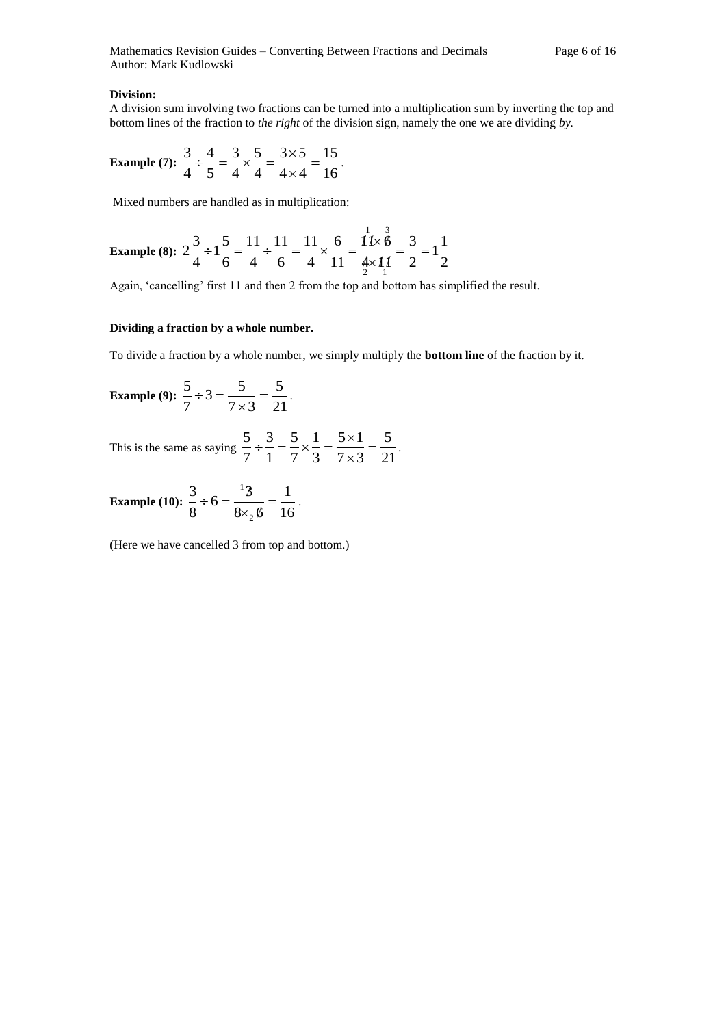#### **Division:**

A division sum involving two fractions can be turned into a multiplication sum by inverting the top and bottom lines of the fraction to *the right* of the division sign, namely the one we are dividing *by.*

Example (7): 
$$
\frac{3}{4} \div \frac{4}{5} = \frac{3}{4} \times \frac{5}{4} = \frac{3 \times 5}{4 \times 4} = \frac{15}{16}
$$
.

Mixed numbers are handled as in multiplication:

Example (8): 
$$
2\frac{3}{4} \div 1\frac{5}{6} = \frac{11}{4} \div \frac{11}{6} = \frac{11}{4} \times \frac{6}{11} = \frac{11 \times \cancel{6}}{\cancel{4} \times \cancel{11}} = \frac{3}{2} = 1\frac{1}{2}
$$

Again, 'cancelling' first 11 and then 2 from the top and bottom has simplified the result.

#### **Dividing a fraction by a whole number.**

To divide a fraction by a whole number, we simply multiply the **bottom line** of the fraction by it.

Example (9): 
$$
\frac{5}{7} \div 3 = \frac{5}{7 \times 3} = \frac{5}{21}
$$
.

This is the same as saying  $\frac{2}{7} \div \frac{2}{1} = \frac{2}{7} \times \frac{2}{3} = \frac{2}{7 \times 3} = \frac{2}{21}$   $7 \times 3$  $5 \times 1$   $\frac{5}{2} \div \frac{3}{4} = \frac{5}{2} \times \frac{1}{4} = \frac{5 \times 1}{4} =$  $\times$  $\frac{3}{2} = \frac{5}{2} \times \frac{1}{2} = \frac{5 \times 1}{2} = \frac{5}{2}$ .

Example (10): 
$$
\frac{3}{8} \div 6 = \frac{13}{8 \times_2 6} = \frac{1}{16}
$$
.

(Here we have cancelled 3 from top and bottom.)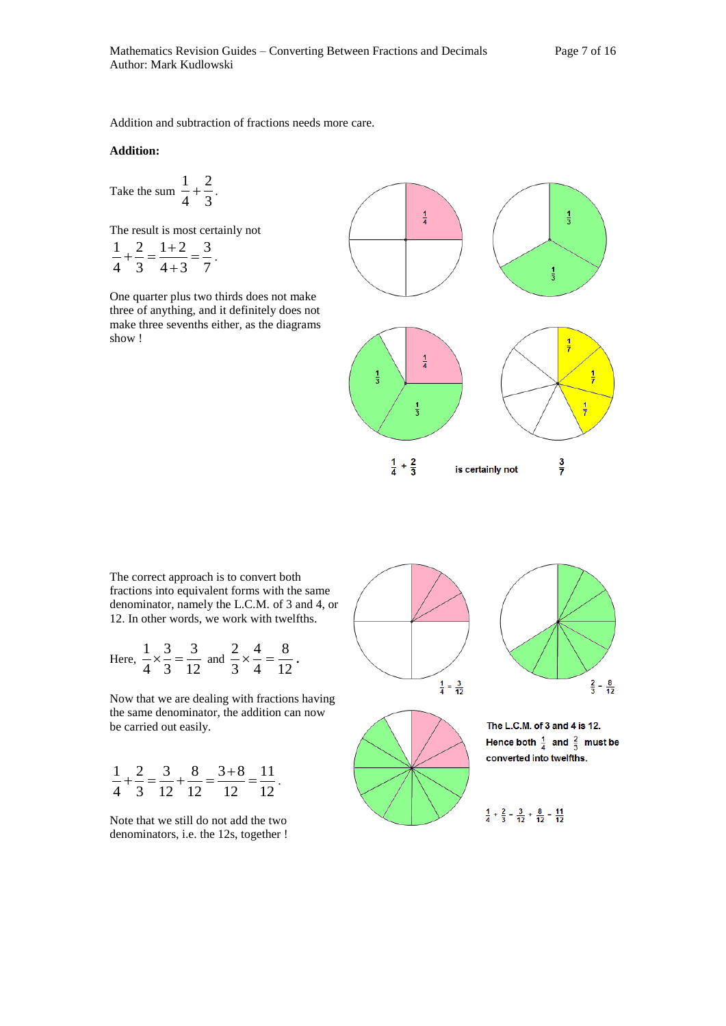Addition and subtraction of fractions needs more care.

#### **Addition:**

Take the sum 
$$
\frac{1}{4} + \frac{2}{3}
$$
.

The result is most certainly not  $\frac{1}{1} + \frac{2}{2} = \frac{1+2}{1} = \frac{3}{7}$ .

$$
4 \quad 3 \quad 4+3 \quad 7
$$

One quarter plus two thirds does not make three of anything, and it definitely does not make three sevenths either, as the diagrams show !



The correct approach is to convert both fractions into equivalent forms with the same denominator, namely the L.C.M. of 3 and 4, or 12. In other words, we work with twelfths.

Here, 
$$
\frac{1}{4} \times \frac{3}{3} = \frac{3}{12}
$$
 and  $\frac{2}{3} \times \frac{4}{4} = \frac{8}{12}$ .

Now that we are dealing with fractions having the same denominator, the addition can now be carried out easily.

$$
\frac{1}{4} + \frac{2}{3} = \frac{3}{12} + \frac{8}{12} = \frac{3+8}{12} = \frac{11}{12}.
$$

Note that we still do not add the two denominators, i.e. the 12s, together !



The L.C.M. of 3 and 4 is 12. Hence both  $\frac{1}{4}$  and  $\frac{2}{3}$  must be converted into twelfths.

 $\frac{1}{4} + \frac{2}{3} = \frac{3}{12} + \frac{8}{12} = \frac{11}{12}$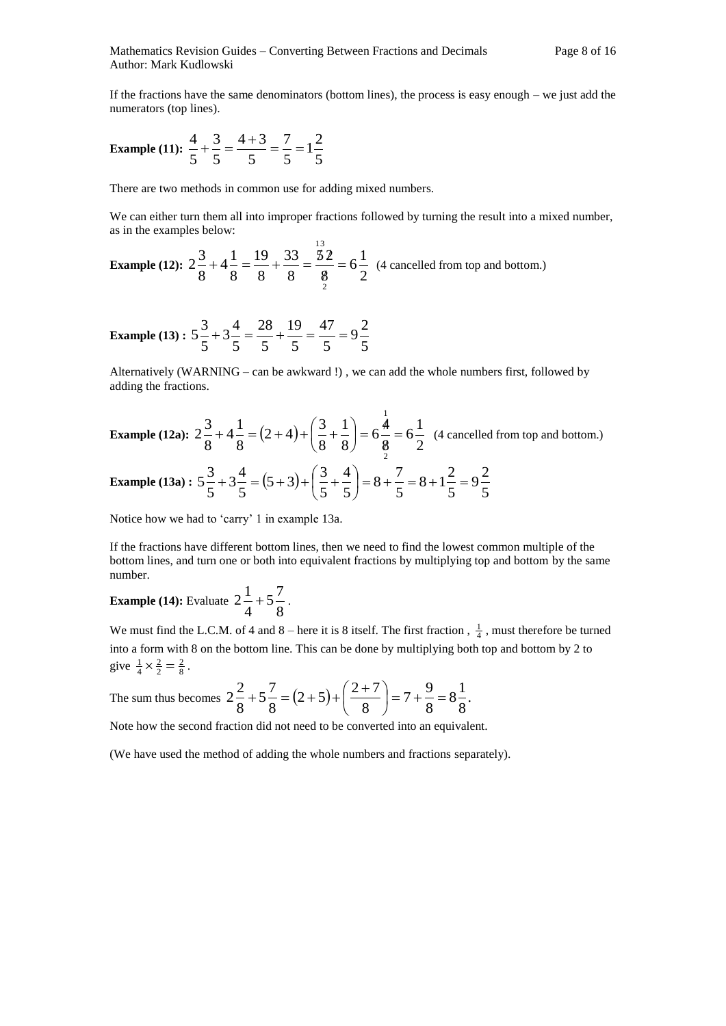If the fractions have the same denominators (bottom lines), the process is easy enough – we just add the numerators (top lines).

Example (11): 
$$
\frac{4}{5} + \frac{3}{5} = \frac{4+3}{5} = \frac{7}{5} = 1\frac{2}{5}
$$

There are two methods in common use for adding mixed numbers.

We can either turn them all into improper fractions followed by turning the result into a mixed number, as in the examples below: 1 3

**Example (12):**  $2\frac{3}{8} + 4\frac{1}{8} = \frac{3}{8} + \frac{3}{8} = \frac{3}{8} = 6\frac{1}{2}$  $6\frac{1}{2}$ 8 5 2 8 33 8 19 8  $4\frac{1}{2}$ 8  $2\frac{3}{2}$ 2  $=$ E  $+4\frac{1}{2} = \frac{19}{3} + \frac{33}{2} = \frac{52}{3} = 6\frac{1}{3}$  (4 cancelled from top and bottom.)

**Example (13) :**  $5\frac{2}{5} + 3\frac{1}{5} = \frac{20}{5} + \frac{20}{5} = \frac{11}{5} = 9\frac{1}{5}$  $9^{\frac{2}{5}}$ 5 47 5 19 5 28 5  $3\frac{4}{7}$ 5  $5\frac{3}{7}+3\frac{4}{7}=\frac{28}{7}+\frac{19}{7}=\frac{47}{7}=9\frac{2}{7}$ 

Alternatively (WARNING – can be awkward !) , we can add the whole numbers first, followed by adding the fractions.

Example (12a): 
$$
2\frac{3}{8} + 4\frac{1}{8} = (2+4) + (\frac{3}{8} + \frac{1}{8}) = 6\frac{4}{8} = 6\frac{1}{2}
$$
 (4 cancelled from top and bottom.)

Example (13a): 
$$
5\frac{3}{5} + 3\frac{4}{5} = (5+3) + (\frac{3}{5} + \frac{4}{5}) = 8 + \frac{7}{5} = 8 + 1\frac{2}{5} = 9\frac{2}{5}
$$

Notice how we had to 'carry' 1 in example 13a.

If the fractions have different bottom lines, then we need to find the lowest common multiple of the bottom lines, and turn one or both into equivalent fractions by multiplying top and bottom by the same number.

**Example (14):** Evaluate  $2\frac{1}{4} + 5\frac{1}{8}$  $5\frac{7}{9}$ 4  $2\frac{1}{1} + 5\frac{7}{9}$ .

We must find the L.C.M. of 4 and 8 – here it is 8 itself. The first fraction,  $\frac{1}{4}$ , must therefore be turned into a form with 8 on the bottom line. This can be done by multiplying both top and bottom by 2 to give  $\frac{1}{4} \times \frac{2}{2} = \frac{2}{8}$ .

The sum thus becomes  $2\frac{2}{2} + 5\frac{7}{2} = (2+5)+\frac{2+7}{2} = 7+\frac{7}{2} = 8\frac{1}{2}$ . 8  $8\frac{1}{2}$ 8  $7 + \frac{9}{9}$ 8  $(2+5)+\left(\frac{2+7}{2}\right)$ 8  $5\frac{7}{9}$ 8  $2\frac{2}{2}+5\frac{7}{2}=(2+5)+\left(\frac{2+7}{2}\right)=7+\frac{9}{2}=$ J  $\left(\frac{2+7}{2}\right)$  $\setminus$  $+5\frac{7}{5} = (2+5)+\left(\frac{2+5}{5}\right)$ 

Note how the second fraction did not need to be converted into an equivalent.

(We have used the method of adding the whole numbers and fractions separately).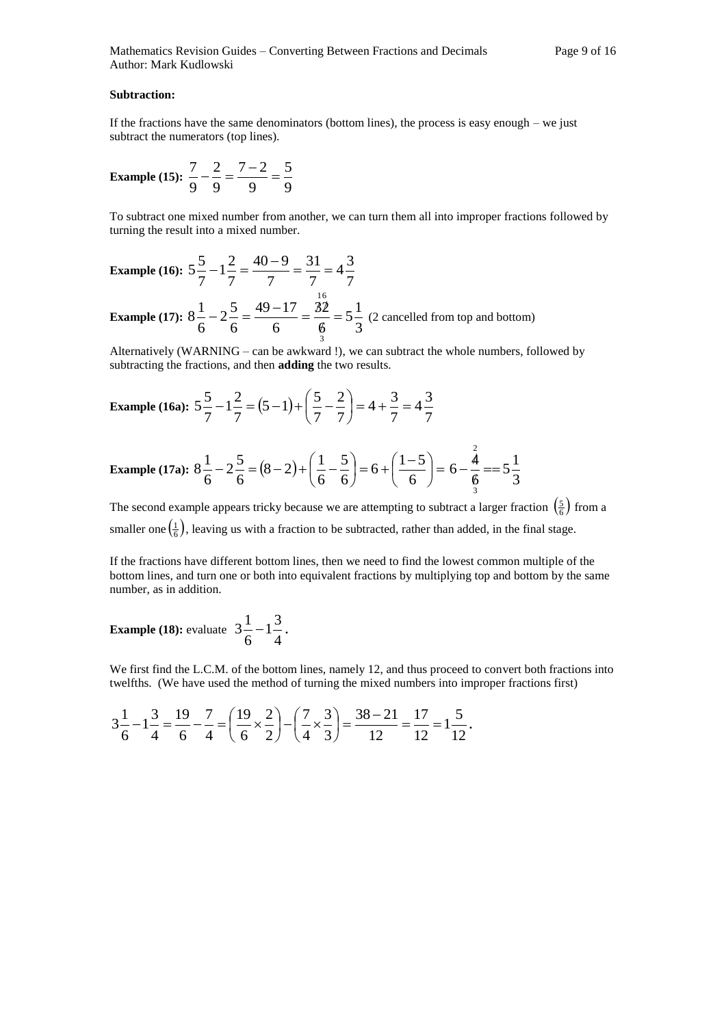#### **Subtraction:**

If the fractions have the same denominators (bottom lines), the process is easy enough – we just subtract the numerators (top lines).

Example (15): 
$$
\frac{7}{9} - \frac{2}{9} = \frac{7-2}{9} = \frac{5}{9}
$$

To subtract one mixed number from another, we can turn them all into improper fractions followed by turning the result into a mixed number.

Example (16): 
$$
5\frac{5}{7} - 1\frac{2}{7} = \frac{40 - 9}{7} = \frac{31}{7} = 4\frac{3}{7}
$$

**Example (17):**  $8\frac{2}{6} - 2\frac{3}{6} = \frac{3}{6} \cdot \frac{1}{6} = \frac{3}{6} \cdot \frac{1}{3} = 5\frac{1}{3}$  $5\frac{1}{2}$ 6 32 6  $49 - 17$ 6  $2\frac{5}{7}$ 6  $8\frac{1}{2}$ 3 16  $=$ ¢  $-2\frac{5}{2} = \frac{49-17}{1} = \frac{32}{1} = 5\frac{1}{2}$  (2 cancelled from top and bottom)

Alternatively (WARNING – can be awkward !), we can subtract the whole numbers, followed by subtracting the fractions, and then **adding** the two results.

Example (16a): 
$$
5\frac{5}{7} - 1\frac{2}{7} = (5 - 1) + (\frac{5}{7} - \frac{2}{7}) = 4 + \frac{3}{7} = 4\frac{3}{7}
$$

Example (17a): 
$$
8\frac{1}{6} - 2\frac{5}{6} = (8 - 2) + (\frac{1}{6} - \frac{5}{6}) = 6 + (\frac{1 - 5}{6}) = 6 - \frac{\frac{2}{4}}{\frac{4}{3}} = 5\frac{1}{3}
$$

The second example appears tricky because we are attempting to subtract a larger fraction  $\left(\frac{5}{6}\right)$  from a smaller one  $(\frac{1}{6})$ , leaving us with a fraction to be subtracted, rather than added, in the final stage.

If the fractions have different bottom lines, then we need to find the lowest common multiple of the bottom lines, and turn one or both into equivalent fractions by multiplying top and bottom by the same number, as in addition.

**Example** (18): evaluate  $3\frac{2}{6} - 1\frac{6}{4}$  $1\frac{3}{4}$ 6  $3\frac{1}{2}-1\frac{3}{4}$ .

We first find the L.C.M. of the bottom lines, namely 12, and thus proceed to convert both fractions into twelfths. (We have used the method of turning the mixed numbers into improper fractions first)

$$
3\frac{1}{6} - 1\frac{3}{4} = \frac{19}{6} - \frac{7}{4} = \left(\frac{19}{6} \times \frac{2}{2}\right) - \left(\frac{7}{4} \times \frac{3}{3}\right) = \frac{38 - 21}{12} = \frac{17}{12} = 1\frac{5}{12}.
$$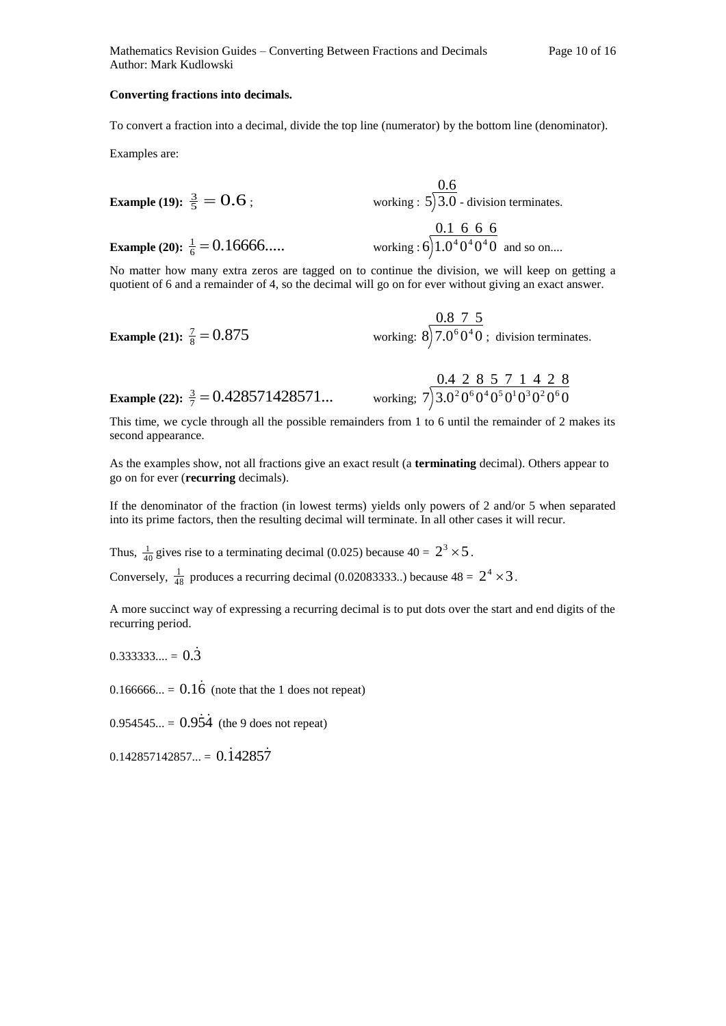Mathematics Revision Guides – Converting Between Fractions and Decimals Page 10 of 16 Author: Mark Kudlowski

#### **Converting fractions into decimals.**

To convert a fraction into a decimal, divide the top line (numerator) by the bottom line (denominator).

Examples are:

Example (19): 
$$
\frac{3}{5} = 0.6
$$
;  
\n**Example (20):**  $\frac{1}{6} = 0.16666...$  working:  $5\overline{\smash{\big)}3.0}$  - division terminates.  
\n**Example (20):**  $\frac{1}{6} = 0.16666...$  working:  $6\overline{\smash{\big)}1.0^40^40^40}$  and so on....

No matter how many extra zeros are tagged on to continue the division, we will keep on getting a quotient of 6 and a remainder of 4, so the decimal will go on for ever without giving an exact answer.

**Example (21):** 
$$
\frac{7}{8} = 0.875
$$
 working:  $8 \overline{)7.0^6 0^4 0}$ ; division terminates.

**Example (22):** 
$$
\frac{3}{7} = 0.428571428571...
$$
 working;  $7 \overline{)3.0^2 0^6 0^4 0^5 0^1 0^3 0^2 0^6 0}$ 

This time, we cycle through all the possible remainders from 1 to 6 until the remainder of 2 makes its second appearance.

As the examples show, not all fractions give an exact result (a **terminating** decimal). Others appear to go on for ever (**recurring** decimals).

If the denominator of the fraction (in lowest terms) yields only powers of 2 and/or 5 when separated into its prime factors, then the resulting decimal will terminate. In all other cases it will recur.

Thus,  $\frac{1}{40}$  gives rise to a terminating decimal (0.025) because  $40 = 2^3 \times 5$ .

Conversely,  $\frac{1}{48}$  $\frac{1}{18}$  produces a recurring decimal (0.02083333..) because 48 =  $2^4 \times 3$ .

A more succinct way of expressing a recurring decimal is to put dots over the start and end digits of the recurring period.

 $0.333333... = 0.\overline{3}$ 

 $0.166666... = 0.1\dot{6}$  (note that the 1 does not repeat)

 $0.954545... = 0.95\dot{4}$  (the 9 does not repeat)

 $0.142857142857... = 0.142857$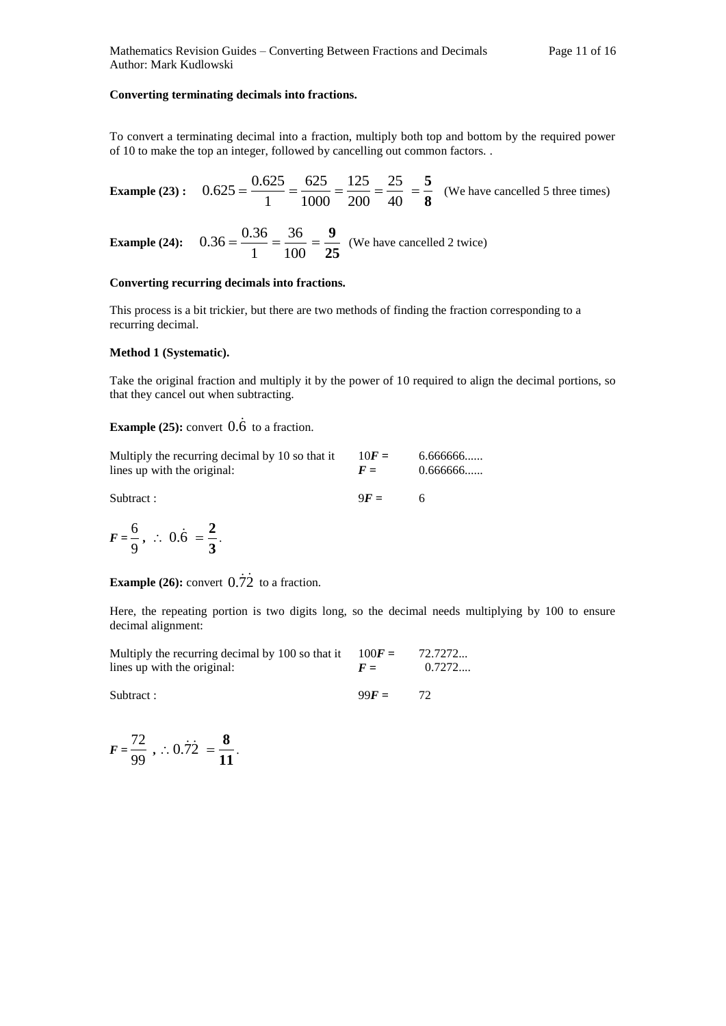#### **Converting terminating decimals into fractions.**

To convert a terminating decimal into a fraction, multiply both top and bottom by the required power of 10 to make the top an integer, followed by cancelling out common factors. .

**Example (23):** 0.625 = 
$$
\frac{0.625}{1} = \frac{625}{1000} = \frac{125}{200} = \frac{25}{40} = \frac{5}{8}
$$
 (We have cancelled 5 three times)

**Example (24):**  $0.36 = \frac{0.066}{1} = \frac{0.066}{100}$ 36 1  $0.36 = \frac{0.36}{1}$ **25**  $=\frac{9}{25}$  (We have cancelled 2 twice)

#### **Converting recurring decimals into fractions.**

This process is a bit trickier, but there are two methods of finding the fraction corresponding to a recurring decimal.

#### **Method 1 (Systematic).**

Take the original fraction and multiply it by the power of 10 required to align the decimal portions, so that they cancel out when subtracting.

### **Example (25):** convert  $\vec{0.6}$  to a fraction.

| Multiply the recurring decimal by 10 so that it | $10F =$ | 6.666666 |
|-------------------------------------------------|---------|----------|
| lines up with the original:                     | $F =$   | 0.666666 |

Subtract : 9*F* = 6

$$
F=\frac{6}{9}, \therefore 0.\dot{6}=\frac{2}{3}.
$$

**Example** (26): convert  $0.\overline{72}$  to a fraction.

Here, the repeating portion is two digits long, so the decimal needs multiplying by 100 to ensure decimal alignment:

| Multiply the recurring decimal by 100 so that it | $100F =$ | 72.7272 |
|--------------------------------------------------|----------|---------|
| lines up with the original:                      | $F =$    | 0.7272  |

Subtract : 99*F* = 72

$$
F = \frac{72}{99}, \therefore 0.\dot{7}\dot{2} = \frac{8}{11}.
$$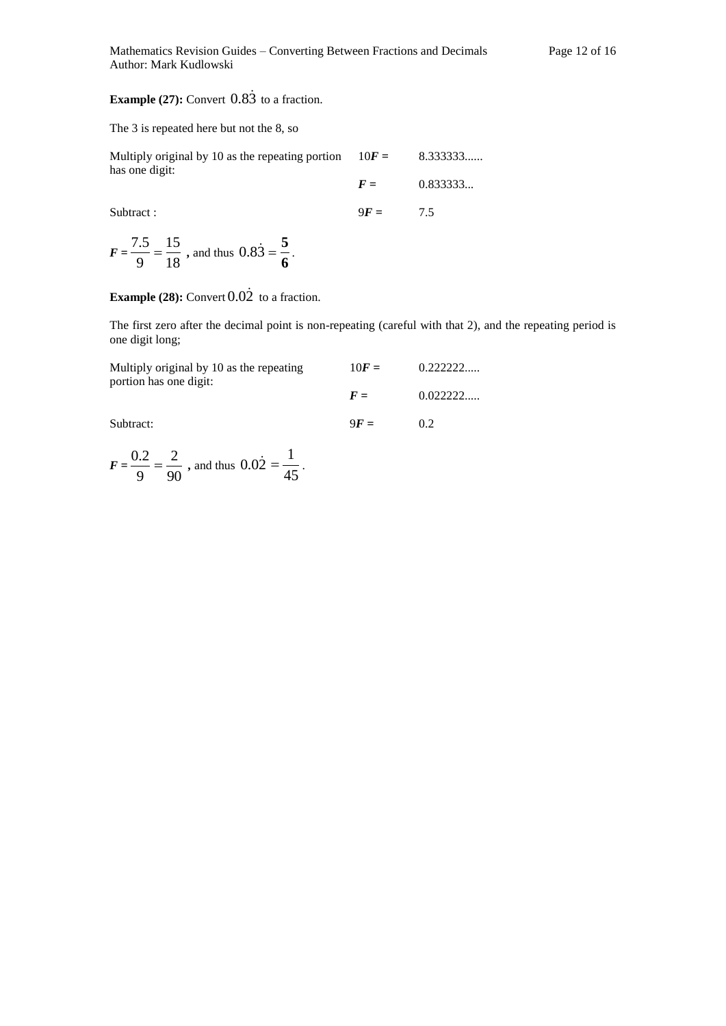### **Example (27):** Convert  $0.8\overline{3}$  to a fraction.

#### The 3 is repeated here but not the 8, so

| Multiply original by 10 as the repeating portion | $10F =$ | 8.333333 |
|--------------------------------------------------|---------|----------|
| has one digit:                                   | $F =$   | 0.833333 |
|                                                  |         |          |

Subtract : 9F = 7.5

 $F = \frac{18}{9} = \frac{18}{18}$ 15 9  $\frac{7.5}{2} = \frac{15}{10}$ , and thus 0.83 **6**  $=\frac{5}{7}$ .

### **Example (28):** Convert  $0.02$  to a fraction.

The first zero after the decimal point is non-repeating (careful with that 2), and the repeating period is one digit long;

| Multiply original by 10 as the repeating | $10F =$ | 0.22222  |
|------------------------------------------|---------|----------|
| portion has one digit:                   | $F =$   | 0.022222 |
| Subtract:                                | $9F =$  | 02       |

$$
F = \frac{0.2}{9} = \frac{2}{90}
$$
, and thus  $0.02 = \frac{1}{45}$ .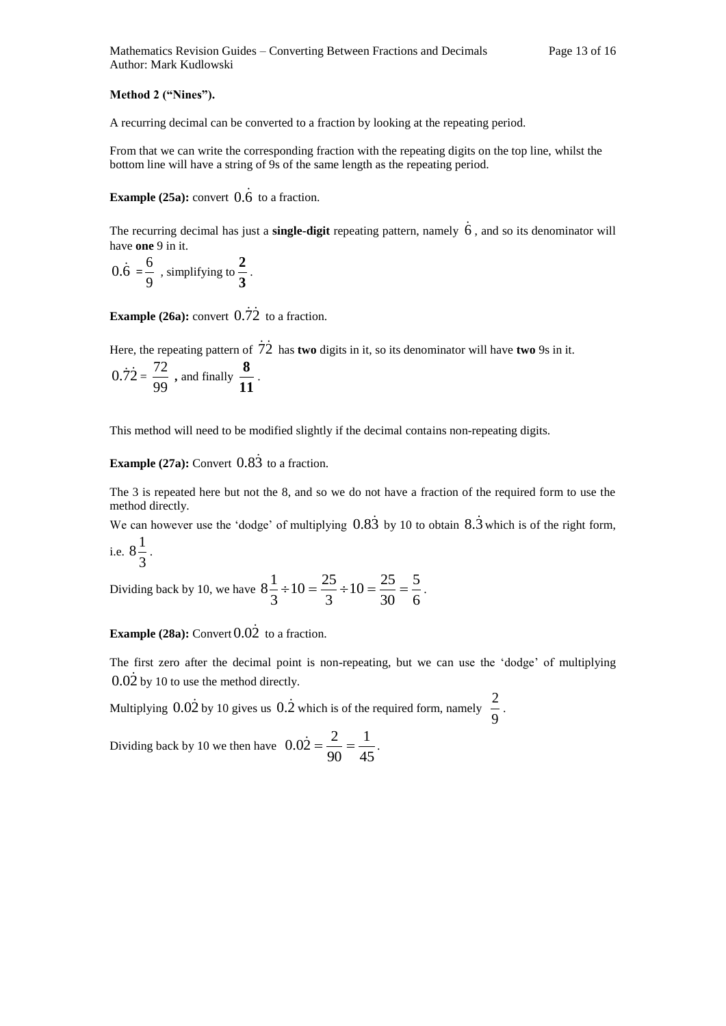#### **Method 2 ("Nines").**

A recurring decimal can be converted to a fraction by looking at the repeating period.

From that we can write the corresponding fraction with the repeating digits on the top line, whilst the bottom line will have a string of 9s of the same length as the repeating period.

### **Example (25a):** convert  $\vec{0.6}$  to a fraction.

The recurring decimal has just a **single-digit** repeating pattern, namely 6, and so its denominator will have **one** 9 in it.

$$
0.\dot{6} = \frac{6}{9}
$$
, simplifying to  $\frac{2}{3}$ .

**Example** (26a): convert  $0.\overline{72}$  to a fraction.

Here, the repeating pattern of 72 has **two** digits in it, so its denominator will have **two** 9s in it.

$$
0.\overline{72} = \frac{72}{99}
$$
, and finally  $\frac{8}{11}$ .

This method will need to be modified slightly if the decimal contains non-repeating digits.

### **Example (27a):** Convert  $0.8\overline{3}$  to a fraction.

The 3 is repeated here but not the 8, and so we do not have a fraction of the required form to use the method directly.

We can however use the 'dodge' of multiplying  $0.83$  by 10 to obtain  $8.\overline{3}$  which is of the right form,  $8\frac{1}{2}$ .

i.e. 
$$
8\frac{1}{3}
$$

Dividing back by 10, we have  $8\frac{2}{3} \div 10 = \frac{20}{3} \div 10 = \frac{20}{30} = \frac{20}{6}$ 5 30  $10 = \frac{25}{36}$ 3  $10 = \frac{25}{3}$ 3  $8\frac{1}{2} \div 10 = \frac{25}{2} \div 10 = \frac{25}{20} = \frac{5}{4}$ .

**Example (28a):** Convert  $0.02$  to a fraction.

The first zero after the decimal point is non-repeating, but we can use the 'dodge' of multiplying  $0.0\dot{2}$  by 10 to use the method directly.

Multiplying  $0.02$  by 10 gives us  $0.2$  which is of the required form, namely 9  $\frac{2}{2}$ .

Dividing back by 10 we then have  $0.02 = \frac{2}{90} = \frac{1}{45}$ 1 90  $0.02 = \frac{2}{3.8} = \frac{1}{12}$ .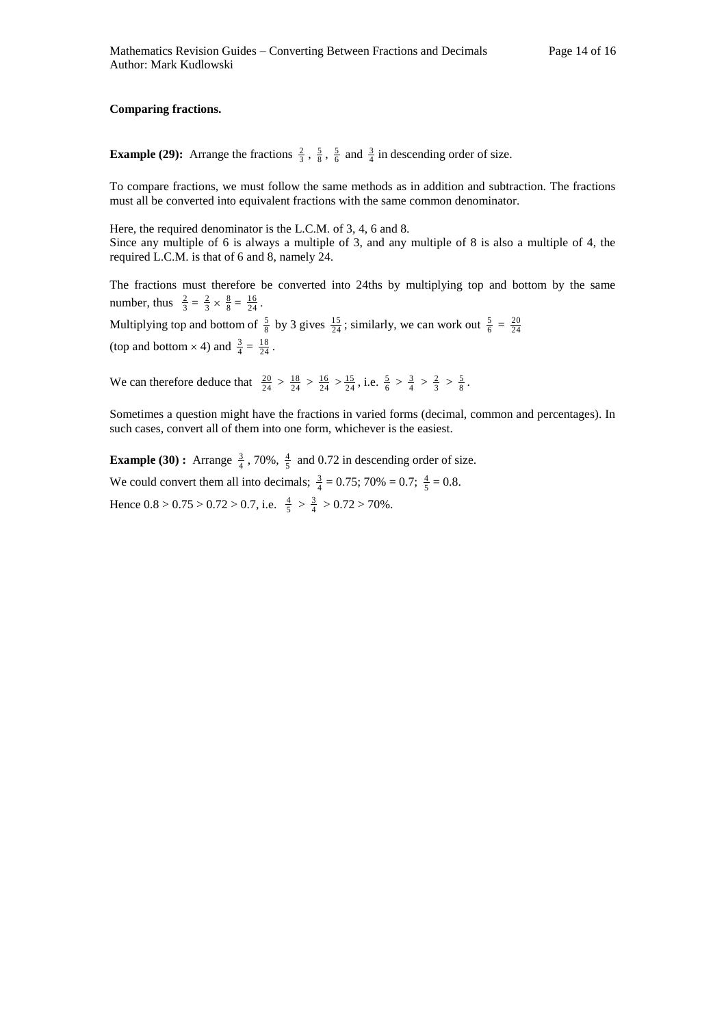#### **Comparing fractions.**

**Example (29):** Arrange the fractions  $\frac{2}{3}$ ,  $\frac{5}{8}$ ,  $\frac{5}{6}$  and  $\frac{3}{4}$  in descending order of size.

To compare fractions, we must follow the same methods as in addition and subtraction. The fractions must all be converted into equivalent fractions with the same common denominator.

Here, the required denominator is the L.C.M. of 3, 4, 6 and 8. Since any multiple of 6 is always a multiple of 3, and any multiple of 8 is also a multiple of 4, the required L.C.M. is that of 6 and 8, namely 24.

The fractions must therefore be converted into 24ths by multiplying top and bottom by the same number, thus  $\frac{2}{3} = \frac{2}{3} \times \frac{8}{8} = \frac{16}{24}$ .

Multiplying top and bottom of  $\frac{5}{8}$  by 3 gives  $\frac{15}{24}$ ; similarly, we can work out  $\frac{5}{6} = \frac{20}{24}$ (top and bottom  $\times$  4) and  $\frac{3}{4} = \frac{18}{24}$ .

We can therefore deduce that  $\frac{20}{24} > \frac{18}{24} > \frac{16}{24} > \frac{15}{24}$ , i.e.  $\frac{5}{6} > \frac{3}{4} > \frac{2}{3} > \frac{5}{8}$ .

Sometimes a question might have the fractions in varied forms (decimal, common and percentages). In such cases, convert all of them into one form, whichever is the easiest.

**Example (30) <b>:** Arrange  $\frac{3}{4}$ , 70%,  $\frac{4}{5}$  and 0.72 in descending order of size. We could convert them all into decimals;  $\frac{3}{4} = 0.75$ ; 70% = 0.7;  $\frac{4}{5} = 0.8$ . Hence  $0.8 > 0.75 > 0.72 > 0.7$ , i.e.  $\frac{4}{5} > \frac{3}{4} > 0.72 > 70\%$ .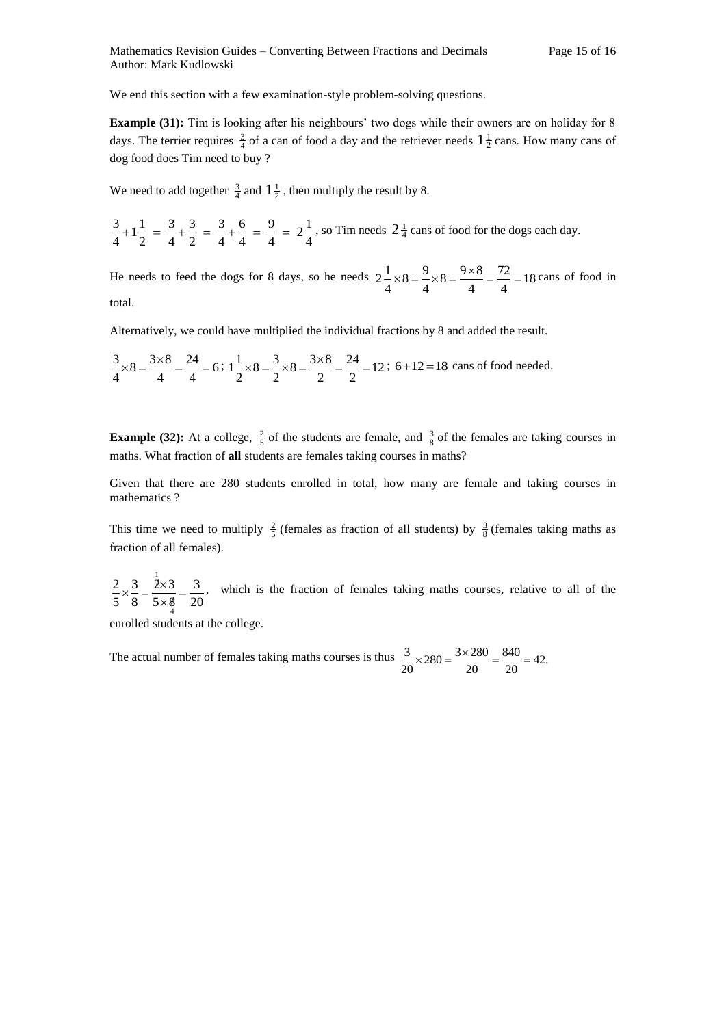We end this section with a few examination-style problem-solving questions.

**Example (31):** Tim is looking after his neighbours' two dogs while their owners are on holiday for 8 days. The terrier requires  $\frac{3}{4}$  of a can of food a day and the retriever needs  $1\frac{1}{2}$  cans. How many cans of dog food does Tim need to buy ?

We need to add together  $\frac{3}{4}$  and  $1\frac{1}{2}$ , then multiply the result by 8.

4  $2^{\frac{1}{2}}$ 4 9 4 6 4 3 2 3 4 3 2  $1\frac{1}{2}$ 4  $\frac{3}{4}+1\frac{1}{2}=\frac{3}{4}+\frac{3}{2}=\frac{3}{4}+\frac{6}{4}=\frac{9}{4}=2\frac{1}{4}$ , so Tim needs  $2\frac{1}{4}$  cans of food for the dogs each day.

He needs to feed the dogs for 8 days, so he needs  $2-\times 8 = -\times 8 = -\frac{9}{2} = 18$ 4 72 4  $8=\frac{9\times8}{1}$ 4  $8 = \frac{9}{1}$ 4  $2\frac{1}{2} \times 8 = \frac{9}{2} \times 8 = \frac{9 \times 8}{1} = \frac{72}{1} = 18$  cans of food in total.

Alternatively, we could have multiplied the individual fractions by 8 and added the result.

$$
\frac{3}{4} \times 8 = \frac{3 \times 8}{4} = \frac{24}{4} = 6; 1\frac{1}{2} \times 8 = \frac{3}{2} \times 8 = \frac{3 \times 8}{2} = \frac{24}{2} = 12; 6+12=18 \text{ cans of food needed.}
$$

**Example (32):** At a college,  $\frac{2}{5}$  of the students are female, and  $\frac{3}{8}$  of the females are taking courses in maths. What fraction of **all** students are females taking courses in maths?

Given that there are 280 students enrolled in total, how many are female and taking courses in mathematics ?

This time we need to multiply  $\frac{2}{5}$  (females as fraction of all students) by  $\frac{3}{8}$  (females taking maths as fraction of all females).

20 3  $5 \times 8$  $2\times 3$ 8 3 5 2 4 1  $=$  $\times 8$  $\times \frac{3}{2} = \frac{2 \times 3}{3} = \frac{3}{3}$ , which is the fraction of females taking maths courses, relative to all of the

enrolled students at the college.

The actual number of females taking maths courses is thus  $\frac{3}{20} \times 280 = \frac{3 \times 280}{20} = \frac{840}{20} = 42.$ 840  $\frac{3}{20} \times 280 = \frac{3 \times 280}{20}$  $\frac{3}{22} \times 280 = \frac{3 \times 280}{222} = \frac{840}{222} =$